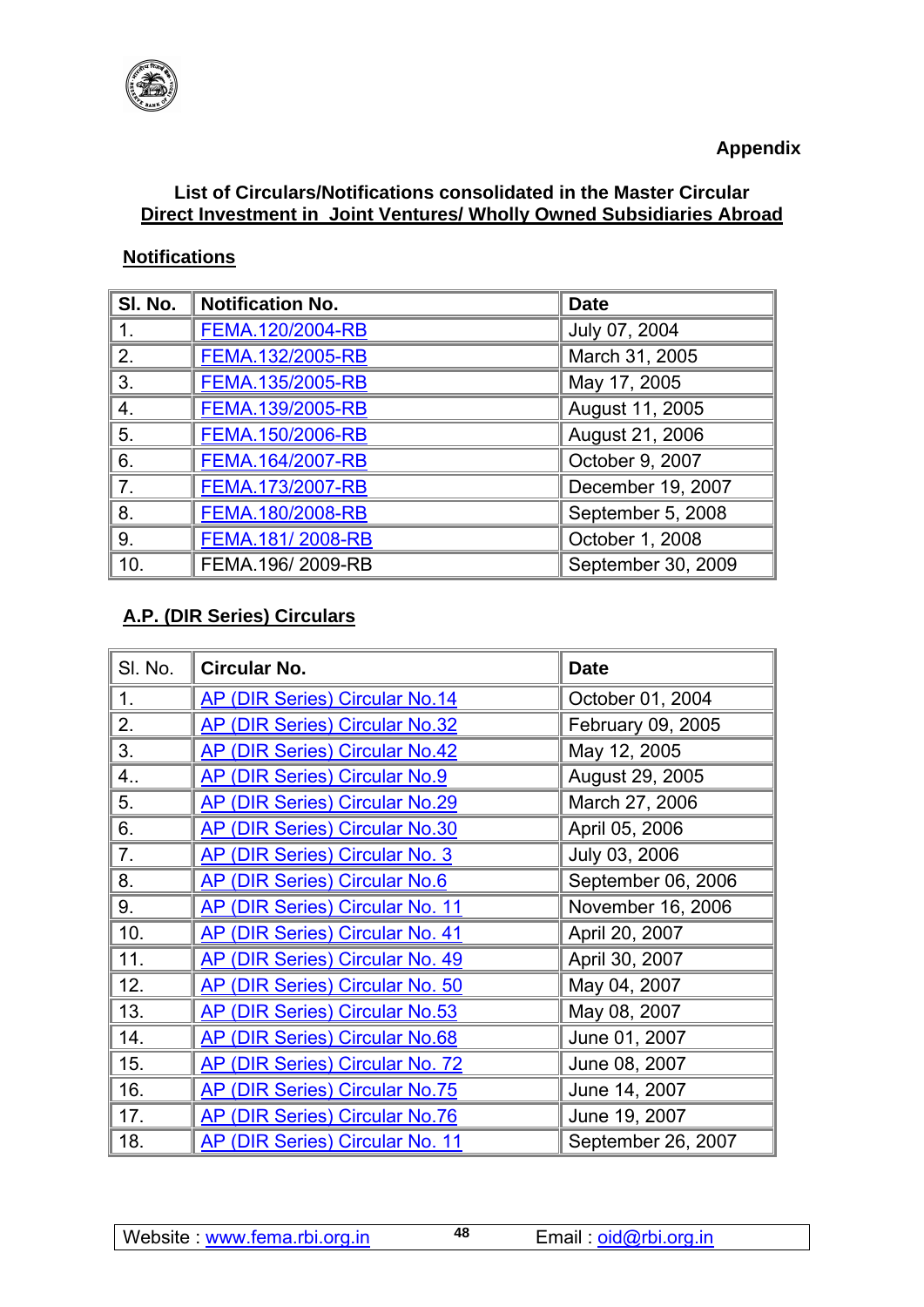

## **List of Circulars/Notifications consolidated in the Master Circular Direct Investment in Joint Ventures/ Wholly Owned Subsidiaries Abroad**

## **Notifications**

| SI. No.        | <b>Notification No.</b> | <b>Date</b>        |
|----------------|-------------------------|--------------------|
| 1.             | FEMA.120/2004-RB        | July 07, 2004      |
| 2.             | FEMA.132/2005-RB        | March 31, 2005     |
| 3.             | FEMA.135/2005-RB        | May 17, 2005       |
| 4.             | FEMA.139/2005-RB        | August 11, 2005    |
| 5.             | FEMA.150/2006-RB        | August 21, 2006    |
| 6.             | FEMA.164/2007-RB        | October 9, 2007    |
| 7 <sub>1</sub> | FEMA.173/2007-RB        | December 19, 2007  |
| 8.             | FEMA.180/2008-RB        | September 5, 2008  |
| 9.             | FEMA.181/2008-RB        | October 1, 2008    |
| 10.            | FEMA.196/2009-RB        | September 30, 2009 |

## **A.P. (DIR Series) Circulars**

| SI. No. | <b>Circular No.</b>                    | <b>Date</b>        |
|---------|----------------------------------------|--------------------|
| 1.      | <b>AP (DIR Series) Circular No.14</b>  | October 01, 2004   |
| 2.      | <b>AP (DIR Series) Circular No.32</b>  | February 09, 2005  |
| 3.      | <b>AP (DIR Series) Circular No.42</b>  | May 12, 2005       |
| 4. .    | <b>AP (DIR Series) Circular No.9</b>   | August 29, 2005    |
| 5.      | <b>AP (DIR Series) Circular No.29</b>  | March 27, 2006     |
| 6.      | <b>AP (DIR Series) Circular No.30</b>  | April 05, 2006     |
| 7.      | AP (DIR Series) Circular No. 3         | July 03, 2006      |
| 8.      | <b>AP (DIR Series) Circular No.6</b>   | September 06, 2006 |
| 9.      | <b>AP (DIR Series) Circular No. 11</b> | November 16, 2006  |
| 10.     | AP (DIR Series) Circular No. 41        | April 20, 2007     |
| 11.     | AP (DIR Series) Circular No. 49        | April 30, 2007     |
| 12.     | AP (DIR Series) Circular No. 50        | May 04, 2007       |
| 13.     | <b>AP (DIR Series) Circular No.53</b>  | May 08, 2007       |
| 14.     | <b>AP (DIR Series) Circular No.68</b>  | June 01, 2007      |
| 15.     | AP (DIR Series) Circular No. 72        | June 08, 2007      |
| 16.     | <b>AP (DIR Series) Circular No.75</b>  | June 14, 2007      |
| 17.     | <b>AP (DIR Series) Circular No.76</b>  | June 19, 2007      |
| 18.     | AP (DIR Series) Circular No. 11        | September 26, 2007 |